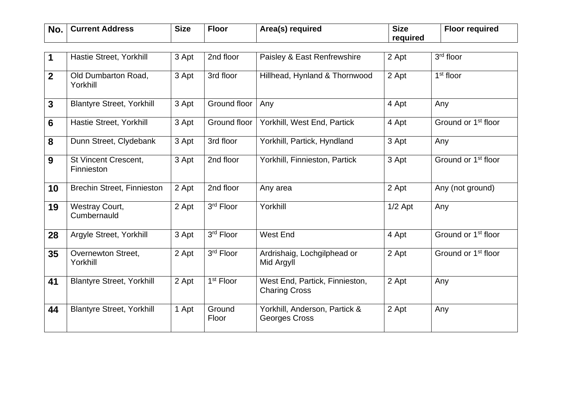| No. | <b>Current Address</b> | <b>Size</b> | <u>Floor</u> | Area(s) required | <b>Size</b> | Floor required |
|-----|------------------------|-------------|--------------|------------------|-------------|----------------|
|     |                        |             |              |                  | required    |                |

| 1              | Hastie Street, Yorkhill                          | 3 Apt | 2nd floor             | Paisley & East Renfrewshire                            | 2 Apt     | 3rd floor                       |
|----------------|--------------------------------------------------|-------|-----------------------|--------------------------------------------------------|-----------|---------------------------------|
| $\overline{2}$ | Old Dumbarton Road,<br>Yorkhill                  | 3 Apt | 3rd floor             | Hillhead, Hynland & Thornwood                          | 2 Apt     | $1st$ floor                     |
| $\mathbf{3}$   | <b>Blantyre Street, Yorkhill</b>                 | 3 Apt | Ground floor          | Any                                                    | 4 Apt     | Any                             |
| $6\phantom{1}$ | Hastie Street, Yorkhill                          | 3 Apt | Ground floor          | Yorkhill, West End, Partick                            | 4 Apt     | Ground or 1 <sup>st</sup> floor |
| 8              | Dunn Street, Clydebank                           | 3 Apt | 3rd floor             | Yorkhill, Partick, Hyndland                            | 3 Apt     | Any                             |
| 9              | <b>St Vincent Crescent,</b><br><b>Finnieston</b> | 3 Apt | 2nd floor             | Yorkhill, Finnieston, Partick                          | 3 Apt     | Ground or 1 <sup>st</sup> floor |
| 10             | <b>Brechin Street, Finnieston</b>                | 2 Apt | 2nd floor             | Any area                                               | 2 Apt     | Any (not ground)                |
| 19             | Westray Court,<br>Cumbernauld                    | 2 Apt | 3rd Floor             | Yorkhill                                               | $1/2$ Apt | Any                             |
| 28             | Argyle Street, Yorkhill                          | 3 Apt | 3rd Floor             | West End                                               | 4 Apt     | Ground or 1 <sup>st</sup> floor |
| 35             | Overnewton Street,<br>Yorkhill                   | 2 Apt | 3rd Floor             | Ardrishaig, Lochgilphead or<br>Mid Argyll              | 2 Apt     | Ground or 1 <sup>st</sup> floor |
| 41             | <b>Blantyre Street, Yorkhill</b>                 | 2 Apt | 1 <sup>st</sup> Floor | West End, Partick, Finnieston,<br><b>Charing Cross</b> | 2 Apt     | Any                             |
| 44             | <b>Blantyre Street, Yorkhill</b>                 | 1 Apt | Ground<br>Floor       | Yorkhill, Anderson, Partick &<br><b>Georges Cross</b>  | 2 Apt     | Any                             |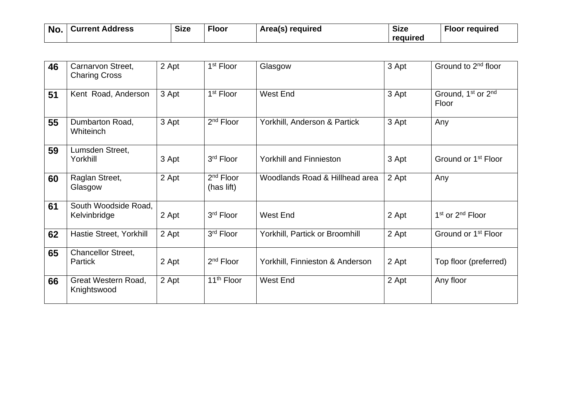| No. | <b>Current Address</b> | <b>Size</b> | <b>Floor</b> | Area(s) required | <b>Size</b> | <b>Floor required</b> |
|-----|------------------------|-------------|--------------|------------------|-------------|-----------------------|
|     |                        |             |              |                  | required    |                       |

| 46 | Carnarvon Street,<br><b>Charing Cross</b>   | 2 Apt | 1 <sup>st</sup> Floor     | Glasgow                         | 3 Apt | Ground to 2 <sup>nd</sup> floor                     |
|----|---------------------------------------------|-------|---------------------------|---------------------------------|-------|-----------------------------------------------------|
| 51 | Kent Road, Anderson                         | 3 Apt | 1 <sup>st</sup> Floor     | West End                        | 3 Apt | Ground, 1 <sup>st</sup> or 2 <sup>nd</sup><br>Floor |
| 55 | Dumbarton Road,<br>Whiteinch                | 3 Apt | 2 <sup>nd</sup> Floor     | Yorkhill, Anderson & Partick    | 3 Apt | Any                                                 |
| 59 | Lumsden Street,<br>Yorkhill                 | 3 Apt | 3 <sup>rd</sup> Floor     | <b>Yorkhill and Finnieston</b>  | 3 Apt | Ground or 1 <sup>st</sup> Floor                     |
| 60 | Raglan Street,<br>Glasgow                   | 2 Apt | $2nd$ Floor<br>(has lift) | Woodlands Road & Hillhead area  | 2 Apt | Any                                                 |
| 61 | South Woodside Road,<br>Kelvinbridge        | 2 Apt | 3 <sup>rd</sup> Floor     | West End                        | 2 Apt | 1 <sup>st</sup> or 2 <sup>nd</sup> Floor            |
| 62 | Hastie Street, Yorkhill                     | 2 Apt | 3rd Floor                 | Yorkhill, Partick or Broomhill  | 2 Apt | Ground or 1 <sup>st</sup> Floor                     |
| 65 | <b>Chancellor Street,</b><br><b>Partick</b> | 2 Apt | 2 <sup>nd</sup> Floor     | Yorkhill, Finnieston & Anderson | 2 Apt | Top floor (preferred)                               |
| 66 | Great Western Road,<br>Knightswood          | 2 Apt | 11 <sup>th</sup> Floor    | West End                        | 2 Apt | Any floor                                           |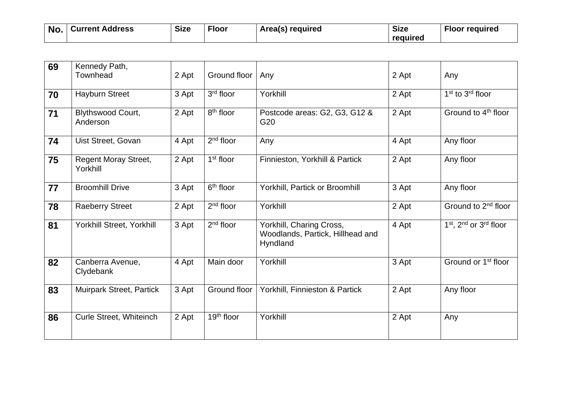| <b>No</b> | <b>Current Address</b> | <b>Size</b> | <u>  Floor</u> | Area(s) required | <b>Size</b> | <b>Floor required</b> |
|-----------|------------------------|-------------|----------------|------------------|-------------|-----------------------|
|           |                        |             |                |                  | required    |                       |

| 69 | Kennedy Path,<br>Townhead               | 2 Apt | Ground floor           | Any                                                                      | 2 Apt | Any                             |
|----|-----------------------------------------|-------|------------------------|--------------------------------------------------------------------------|-------|---------------------------------|
| 70 | <b>Hayburn Street</b>                   | 3 Apt | 3 <sup>rd</sup> floor  | Yorkhill                                                                 | 2 Apt | $1st$ to $3rd$ floor            |
| 71 | <b>Blythswood Court,</b><br>Anderson    | 2 Apt | 8 <sup>th</sup> floor  | Postcode areas: G2, G3, G12 &<br>G <sub>20</sub>                         | 2 Apt | Ground to 4 <sup>th</sup> floor |
| 74 | Uist Street, Govan                      | 4 Apt | $2nd$ floor            | Any                                                                      | 4 Apt | Any floor                       |
| 75 | <b>Regent Moray Street,</b><br>Yorkhill | 2 Apt | $1st$ floor            | Finnieston, Yorkhill & Partick                                           | 2 Apt | Any floor                       |
| 77 | <b>Broomhill Drive</b>                  | 3 Apt | $6th$ floor            | <b>Yorkhill, Partick or Broomhill</b>                                    | 3 Apt | Any floor                       |
| 78 | <b>Raeberry Street</b>                  | 2 Apt | $2nd$ floor            | Yorkhill                                                                 | 2 Apt | Ground to 2 <sup>nd</sup> floor |
| 81 | Yorkhill Street, Yorkhill               | 3 Apt | $2nd$ floor            | Yorkhill, Charing Cross,<br>Woodlands, Partick, Hillhead and<br>Hyndland | 4 Apt | $1st$ , $2nd$ or $3rd$ floor    |
| 82 | Canberra Avenue,<br>Clydebank           | 4 Apt | Main door              | Yorkhill                                                                 | 3 Apt | Ground or 1 <sup>st</sup> floor |
| 83 | <b>Muirpark Street, Partick</b>         | 3 Apt | Ground floor           | Yorkhill, Finnieston & Partick                                           | 2 Apt | Any floor                       |
| 86 | Curle Street, Whiteinch                 | 2 Apt | 19 <sup>th</sup> floor | Yorkhill                                                                 | 2 Apt | Any                             |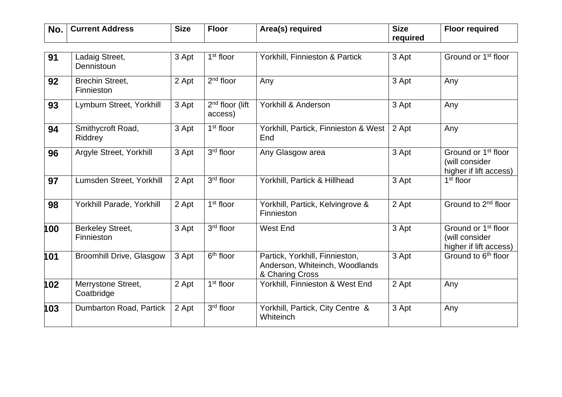| No. | <b>∣ Current Address</b> | <b>Size</b> | Floor | Area(s) required | <b>Size</b> | <b>Floor required</b> |
|-----|--------------------------|-------------|-------|------------------|-------------|-----------------------|
|     |                          |             |       |                  | required    |                       |

| 91  | Ladaig Street,<br>Dennistoun          | 3 Apt | $1st$ floor                  | Yorkhill, Finnieston & Partick                                                      | 3 Apt | Ground or 1 <sup>st</sup> floor                                             |
|-----|---------------------------------------|-------|------------------------------|-------------------------------------------------------------------------------------|-------|-----------------------------------------------------------------------------|
| 92  | <b>Brechin Street,</b><br>Finnieston  | 2 Apt | $2nd$ floor                  | Any                                                                                 | 3 Apt | Any                                                                         |
| 93  | Lymburn Street, Yorkhill              | 3 Apt | $2nd$ floor (lift<br>access) | Yorkhill & Anderson                                                                 | 3 Apt | Any                                                                         |
| 94  | Smithycroft Road,<br>Riddrey          | 3 Apt | $1st$ floor                  | Yorkhill, Partick, Finnieston & West<br>End                                         | 2 Apt | Any                                                                         |
| 96  | Argyle Street, Yorkhill               | 3 Apt | 3rd floor                    | Any Glasgow area                                                                    | 3 Apt | Ground or 1 <sup>st</sup> floor<br>(will consider<br>higher if lift access) |
| 97  | Lumsden Street, Yorkhill              | 2 Apt | 3rd floor                    | Yorkhill, Partick & Hillhead                                                        | 3 Apt | 1 <sup>st</sup> floor                                                       |
| 98  | Yorkhill Parade, Yorkhill             | 2 Apt | 1 <sup>st</sup> floor        | Yorkhill, Partick, Kelvingrove &<br>Finnieston                                      | 2 Apt | Ground to 2 <sup>nd</sup> floor                                             |
| 100 | <b>Berkeley Street,</b><br>Finnieston | 3 Apt | 3rd floor                    | <b>West End</b>                                                                     | 3 Apt | Ground or 1 <sup>st</sup> floor<br>(will consider<br>higher if lift access) |
| 101 | <b>Broomhill Drive, Glasgow</b>       | 3 Apt | $6th$ floor                  | Partick, Yorkhill, Finnieston,<br>Anderson, Whiteinch, Woodlands<br>& Charing Cross | 3 Apt | Ground to 6 <sup>th</sup> floor                                             |
| 102 | Merrystone Street,<br>Coatbridge      | 2 Apt | 1 <sup>st</sup> floor        | Yorkhill, Finnieston & West End                                                     | 2 Apt | Any                                                                         |
| 103 | Dumbarton Road, Partick               | 2 Apt | 3rd floor                    | Yorkhill, Partick, City Centre &<br>Whiteinch                                       | 3 Apt | Any                                                                         |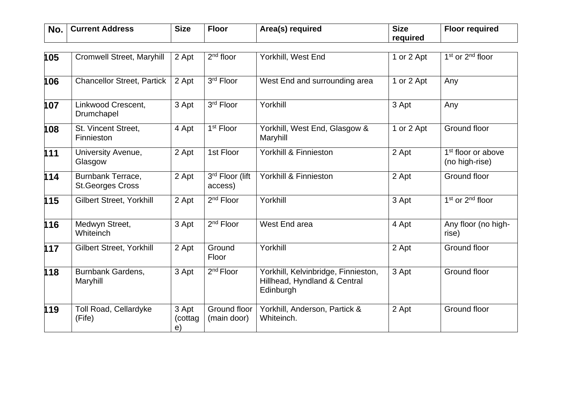| No. | Current Address | <b>Size</b> | <b>Floor</b> | Area(s) required | <b>Size</b> | <b>Floor required</b> |
|-----|-----------------|-------------|--------------|------------------|-------------|-----------------------|
|     |                 |             |              |                  | required    |                       |

| 105 | Cromwell Street, Maryhill                    | 2 Apt                  | $2nd$ floor                 | Yorkhill, West End                                                               | 1 or 2 Apt | 1 <sup>st</sup> or 2 <sup>nd</sup> floor         |
|-----|----------------------------------------------|------------------------|-----------------------------|----------------------------------------------------------------------------------|------------|--------------------------------------------------|
| 106 | <b>Chancellor Street, Partick</b>            | 2 Apt                  | 3rd Floor                   | West End and surrounding area                                                    | 1 or 2 Apt | Any                                              |
| 107 | Linkwood Crescent,<br>Drumchapel             | 3 Apt                  | 3rd Floor                   | Yorkhill                                                                         | 3 Apt      | Any                                              |
| 108 | St. Vincent Street,<br>Finnieston            | 4 Apt                  | 1 <sup>st</sup> Floor       | Yorkhill, West End, Glasgow &<br>Maryhill                                        | 1 or 2 Apt | Ground floor                                     |
| 111 | University Avenue,<br>Glasgow                | 2 Apt                  | 1st Floor                   | Yorkhill & Finnieston                                                            | 2 Apt      | 1 <sup>st</sup> floor or above<br>(no high-rise) |
| 114 | Burnbank Terrace,<br><b>St.Georges Cross</b> | 2 Apt                  | 3rd Floor (lift<br>access)  | Yorkhill & Finnieston                                                            | 2 Apt      | Ground floor                                     |
| 115 | Gilbert Street, Yorkhill                     | 2 Apt                  | 2 <sup>nd</sup> Floor       | Yorkhill                                                                         | 3 Apt      | 1 <sup>st</sup> or 2 <sup>nd</sup> floor         |
| 116 | Medwyn Street,<br>Whiteinch                  | 3 Apt                  | 2 <sup>nd</sup> Floor       | West End area                                                                    | 4 Apt      | Any floor (no high-<br>rise)                     |
| 117 | Gilbert Street, Yorkhill                     | 2 Apt                  | Ground<br>Floor             | Yorkhill                                                                         | 2 Apt      | Ground floor                                     |
| 118 | <b>Burnbank Gardens,</b><br>Maryhill         | 3 Apt                  | 2 <sup>nd</sup> Floor       | Yorkhill, Kelvinbridge, Finnieston,<br>Hillhead, Hyndland & Central<br>Edinburgh | 3 Apt      | Ground floor                                     |
| 119 | Toll Road, Cellardyke<br>(Fife)              | 3 Apt<br>(cottag<br>e) | Ground floor<br>(main door) | Yorkhill, Anderson, Partick &<br>Whiteinch.                                      | 2 Apt      | Ground floor                                     |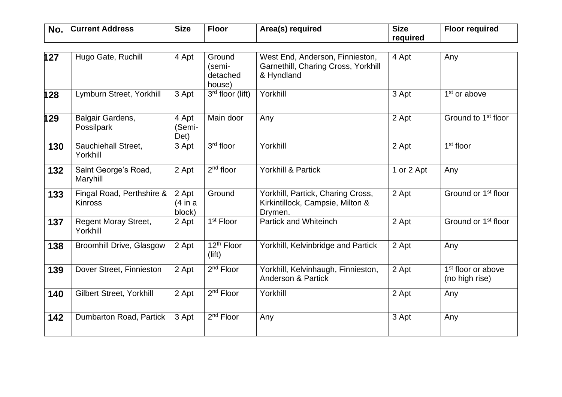| No. | <b>Current Address</b> | <b>Size</b> | <b>Floor</b> | Area(s) required | <b>Size</b> | <b>Floor required</b> |
|-----|------------------------|-------------|--------------|------------------|-------------|-----------------------|
|     |                        |             |              |                  | required    |                       |

| 127 | Hugo Gate, Ruchill                          | 4 Apt                       | Ground<br>(semi-<br>detached<br>house) | West End, Anderson, Finnieston,<br>Garnethill, Charing Cross, Yorkhill<br>& Hyndland | 4 Apt      | Any                                              |
|-----|---------------------------------------------|-----------------------------|----------------------------------------|--------------------------------------------------------------------------------------|------------|--------------------------------------------------|
| 128 | Lymburn Street, Yorkhill                    | 3 Apt                       | $3rd$ floor (lift)                     | Yorkhill                                                                             | 3 Apt      | 1 <sup>st</sup> or above                         |
| 129 | Balgair Gardens,<br>Possilpark              | 4 Apt<br>(Semi-<br>Det)     | Main door                              | Any                                                                                  | 2 Apt      | Ground to 1 <sup>st</sup> floor                  |
| 130 | Sauchiehall Street,<br>Yorkhill             | 3 Apt                       | $3rd$ floor                            | Yorkhill                                                                             | 2 Apt      | 1 <sup>st</sup> floor                            |
| 132 | Saint George's Road,<br>Maryhill            | 2 Apt                       | 2 <sup>nd</sup> floor                  | <b>Yorkhill &amp; Partick</b>                                                        | 1 or 2 Apt | Any                                              |
| 133 | Fingal Road, Perthshire &<br><b>Kinross</b> | 2 Apt<br>(4 in a)<br>block) | Ground                                 | Yorkhill, Partick, Charing Cross,<br>Kirkintillock, Campsie, Milton &<br>Drymen.     | 2 Apt      | Ground or 1 <sup>st</sup> floor                  |
| 137 | <b>Regent Moray Street,</b><br>Yorkhill     | 2 Apt                       | 1 <sup>st</sup> Floor                  | <b>Partick and Whiteinch</b>                                                         | 2 Apt      | Ground or 1 <sup>st</sup> floor                  |
| 138 | <b>Broomhill Drive, Glasgow</b>             | 2 Apt                       | 12 <sup>th</sup> Floor<br>(lift)       | Yorkhill, Kelvinbridge and Partick                                                   | 2 Apt      | Any                                              |
| 139 | Dover Street, Finnieston                    | 2 Apt                       | 2 <sup>nd</sup> Floor                  | Yorkhill, Kelvinhaugh, Finnieston,<br><b>Anderson &amp; Partick</b>                  | 2 Apt      | 1 <sup>st</sup> floor or above<br>(no high rise) |
| 140 | <b>Gilbert Street, Yorkhill</b>             | 2 Apt                       | 2 <sup>nd</sup> Floor                  | Yorkhill                                                                             | 2 Apt      | Any                                              |
| 142 | Dumbarton Road, Partick                     | 3 Apt                       | 2 <sup>nd</sup> Floor                  | Any                                                                                  | 3 Apt      | Any                                              |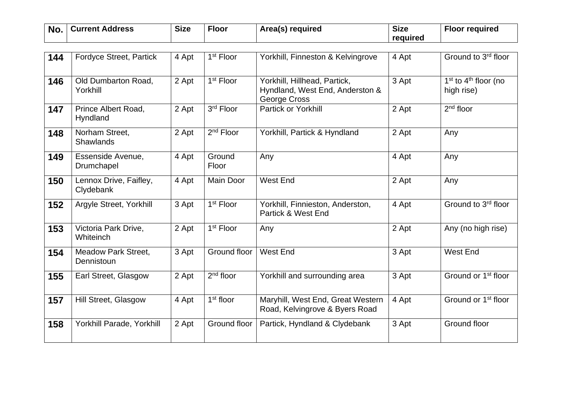| No. | <b>Current Address</b> | <b>Size</b> | <b>Floor</b> | Area(s) required | <b>Size</b> | <b>Floor required</b> |
|-----|------------------------|-------------|--------------|------------------|-------------|-----------------------|
|     |                        |             |              |                  | required    |                       |

| 144 | <b>Fordyce Street, Partick</b>           | 4 Apt | 1 <sup>st</sup> Floor | Yorkhill, Finneston & Kelvingrove                                               | 4 Apt | Ground to 3 <sup>rd</sup> floor        |
|-----|------------------------------------------|-------|-----------------------|---------------------------------------------------------------------------------|-------|----------------------------------------|
| 146 | Old Dumbarton Road,<br>Yorkhill          | 2 Apt | 1 <sup>st</sup> Floor | Yorkhill, Hillhead, Partick,<br>Hyndland, West End, Anderston &<br>George Cross | 3 Apt | $1st$ to $4th$ floor (no<br>high rise) |
| 147 | Prince Albert Road,<br>Hyndland          | 2 Apt | 3rd Floor             | <b>Partick or Yorkhill</b>                                                      | 2 Apt | $2nd$ floor                            |
| 148 | Norham Street,<br><b>Shawlands</b>       | 2 Apt | $2nd$ Floor           | Yorkhill, Partick & Hyndland                                                    | 2 Apt | Any                                    |
| 149 | Essenside Avenue,<br>Drumchapel          | 4 Apt | Ground<br>Floor       | Any                                                                             | 4 Apt | Any                                    |
| 150 | Lennox Drive, Faifley,<br>Clydebank      | 4 Apt | <b>Main Door</b>      | <b>West End</b>                                                                 | 2 Apt | Any                                    |
| 152 | Argyle Street, Yorkhill                  | 3 Apt | 1 <sup>st</sup> Floor | Yorkhill, Finnieston, Anderston,<br>Partick & West End                          | 4 Apt | Ground to 3rd floor                    |
| 153 | Victoria Park Drive,<br>Whiteinch        | 2 Apt | 1 <sup>st</sup> Floor | Any                                                                             | 2 Apt | Any (no high rise)                     |
| 154 | <b>Meadow Park Street,</b><br>Dennistoun | 3 Apt | Ground floor          | <b>West End</b>                                                                 | 3 Apt | West End                               |
| 155 | Earl Street, Glasgow                     | 2 Apt | $2nd$ floor           | Yorkhill and surrounding area                                                   | 3 Apt | Ground or 1 <sup>st</sup> floor        |
| 157 | Hill Street, Glasgow                     | 4 Apt | $1st$ floor           | Maryhill, West End, Great Western<br>Road, Kelvingrove & Byers Road             | 4 Apt | Ground or 1 <sup>st</sup> floor        |
| 158 | Yorkhill Parade, Yorkhill                | 2 Apt | Ground floor          | Partick, Hyndland & Clydebank                                                   | 3 Apt | Ground floor                           |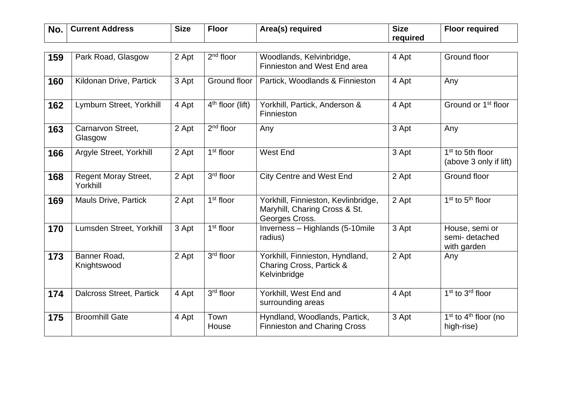| No. | ' Current Address | <b>Size</b> | <b>Floor</b> | Area(s) required | <b>Size</b> | <b>Floor required</b> |
|-----|-------------------|-------------|--------------|------------------|-------------|-----------------------|
|     |                   |             |              |                  | reauired    |                       |

| 159 | Park Road, Glasgow                      | 2 Apt | $2nd$ floor           | Woodlands, Kelvinbridge,<br>Finnieston and West End area                               | 4 Apt | Ground floor                                           |
|-----|-----------------------------------------|-------|-----------------------|----------------------------------------------------------------------------------------|-------|--------------------------------------------------------|
| 160 | Kildonan Drive, Partick                 | 3 Apt | Ground floor          | Partick, Woodlands & Finnieston                                                        | 4 Apt | Any                                                    |
| 162 | Lymburn Street, Yorkhill                | 4 Apt | $4th$ floor (lift)    | Yorkhill, Partick, Anderson &<br>Finnieston                                            | 4 Apt | Ground or 1 <sup>st</sup> floor                        |
| 163 | Carnarvon Street.<br>Glasgow            | 2 Apt | $2nd$ floor           | Any                                                                                    | 3 Apt | Any                                                    |
| 166 | Argyle Street, Yorkhill                 | 2 Apt | $1st$ floor           | West End                                                                               | 3 Apt | 1 <sup>st</sup> to 5th floor<br>(above 3 only if lift) |
| 168 | <b>Regent Moray Street,</b><br>Yorkhill | 2 Apt | 3rd floor             | <b>City Centre and West End</b>                                                        | 2 Apt | Ground floor                                           |
| 169 | <b>Mauls Drive, Partick</b>             | 2 Apt | 1 <sup>st</sup> floor | Yorkhill, Finnieston, Kevlinbridge,<br>Maryhill, Charing Cross & St.<br>Georges Cross. | 2 Apt | $1st$ to $5th$ floor                                   |
| 170 | Lumsden Street, Yorkhill                | 3 Apt | $1st$ floor           | Inverness - Highlands (5-10mile<br>radius)                                             | 3 Apt | House, semi or<br>semi-detached<br>with garden         |
| 173 | Banner Road,<br>Knightswood             | 2 Apt | 3rd floor             | Yorkhill, Finnieston, Hyndland,<br>Charing Cross, Partick &<br>Kelvinbridge            | 2 Apt | Any                                                    |
| 174 | <b>Dalcross Street, Partick</b>         | 4 Apt | 3rd floor             | Yorkhill, West End and<br>surrounding areas                                            | 4 Apt | 1 <sup>st</sup> to 3 <sup>rd</sup> floor               |
| 175 | <b>Broomhill Gate</b>                   | 4 Apt | Town<br>House         | Hyndland, Woodlands, Partick,<br><b>Finnieston and Charing Cross</b>                   | 3 Apt | $1st$ to $4th$ floor (no<br>high-rise)                 |